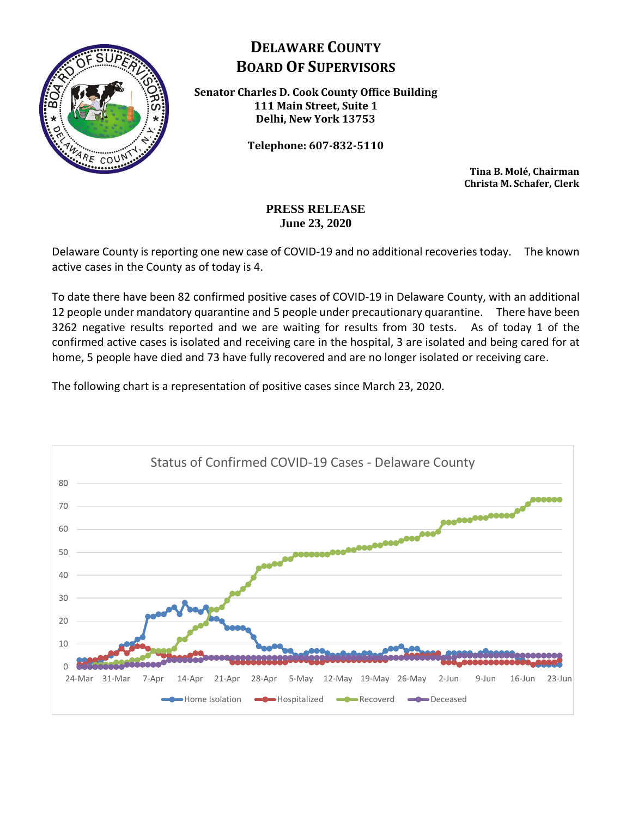

## **DELAWARE COUNTY BOARD OF SUPERVISORS**

**Senator Charles D. Cook County Office Building 111 Main Street, Suite 1 Delhi, New York 13753**

**Telephone: 607-832-5110**

**Tina B. Molé, Chairman Christa M. Schafer, Clerk**

## **PRESS RELEASE June 23, 2020**

Delaware County is reporting one new case of COVID-19 and no additional recoveries today. The known active cases in the County as of today is 4.

To date there have been 82 confirmed positive cases of COVID-19 in Delaware County, with an additional 12 people under mandatory quarantine and 5 people under precautionary quarantine. There have been 3262 negative results reported and we are waiting for results from 30 tests. As of today 1 of the confirmed active cases is isolated and receiving care in the hospital, 3 are isolated and being cared for at home, 5 people have died and 73 have fully recovered and are no longer isolated or receiving care.

The following chart is a representation of positive cases since March 23, 2020.

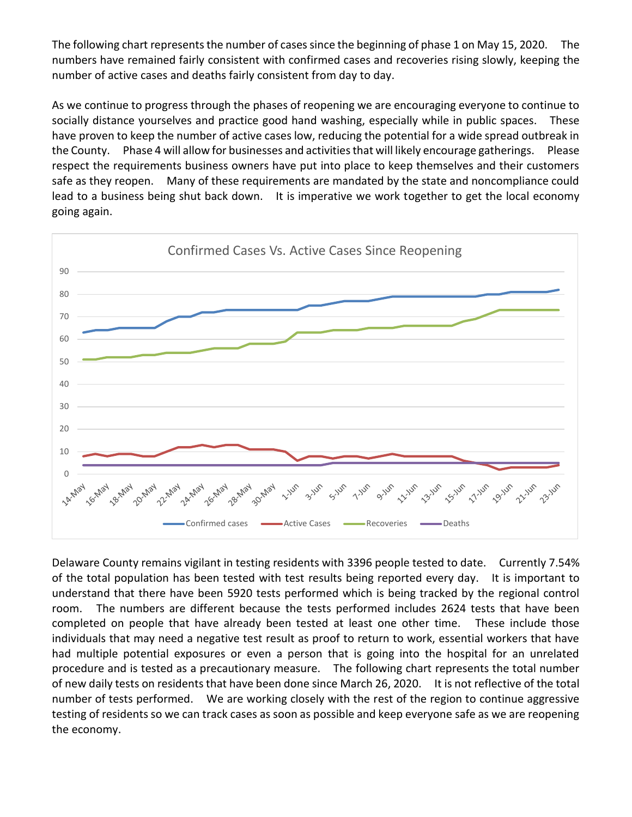The following chart represents the number of cases since the beginning of phase 1 on May 15, 2020. The numbers have remained fairly consistent with confirmed cases and recoveries rising slowly, keeping the number of active cases and deaths fairly consistent from day to day.

As we continue to progress through the phases of reopening we are encouraging everyone to continue to socially distance yourselves and practice good hand washing, especially while in public spaces. These have proven to keep the number of active cases low, reducing the potential for a wide spread outbreak in the County. Phase 4 will allow for businesses and activities that will likely encourage gatherings. Please respect the requirements business owners have put into place to keep themselves and their customers safe as they reopen. Many of these requirements are mandated by the state and noncompliance could lead to a business being shut back down. It is imperative we work together to get the local economy going again.



Delaware County remains vigilant in testing residents with 3396 people tested to date. Currently 7.54% of the total population has been tested with test results being reported every day. It is important to understand that there have been 5920 tests performed which is being tracked by the regional control room. The numbers are different because the tests performed includes 2624 tests that have been completed on people that have already been tested at least one other time. These include those individuals that may need a negative test result as proof to return to work, essential workers that have had multiple potential exposures or even a person that is going into the hospital for an unrelated procedure and is tested as a precautionary measure. The following chart represents the total number of new daily tests on residents that have been done since March 26, 2020. It is not reflective of the total number of tests performed. We are working closely with the rest of the region to continue aggressive testing of residents so we can track cases as soon as possible and keep everyone safe as we are reopening the economy.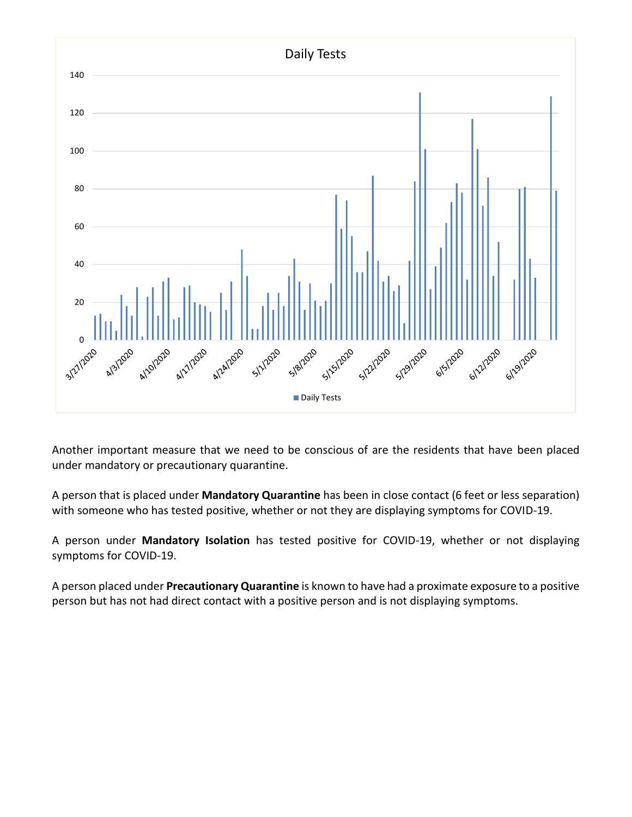

Another important measure that we need to be conscious of are the residents that have been placed under mandatory or precautionary quarantine.

A person that is placed under **Mandatory Quarantine** has been in close contact (6 feet or less separation) with someone who has tested positive, whether or not they are displaying symptoms for COVID-19.

A person under **Mandatory Isolation** has tested positive for COVID-19, whether or not displaying symptoms for COVID-19.

A person placed under **Precautionary Quarantine** is known to have had a proximate exposure to a positive person but has not had direct contact with a positive person and is not displaying symptoms.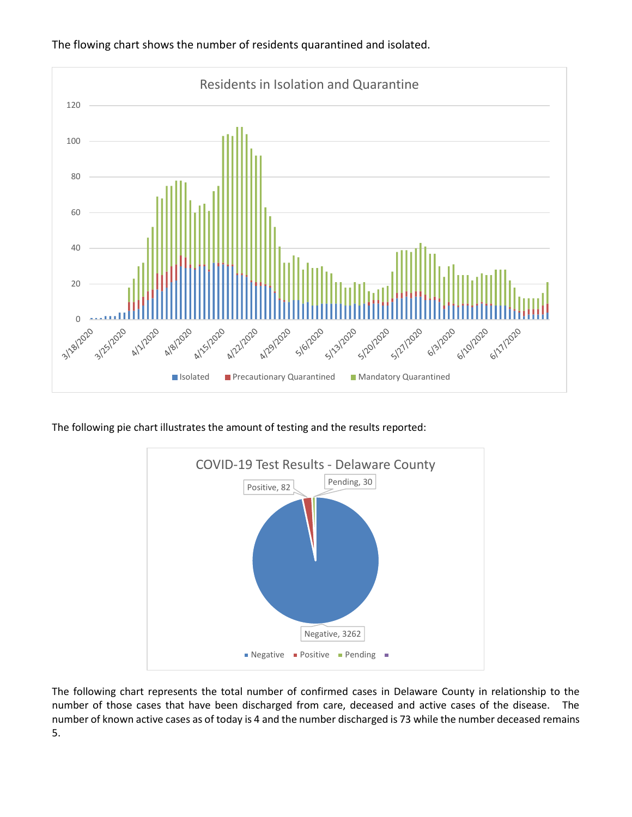

The flowing chart shows the number of residents quarantined and isolated.

The following pie chart illustrates the amount of testing and the results reported:



The following chart represents the total number of confirmed cases in Delaware County in relationship to the number of those cases that have been discharged from care, deceased and active cases of the disease. The number of known active cases as of today is 4 and the number discharged is 73 while the number deceased remains 5.